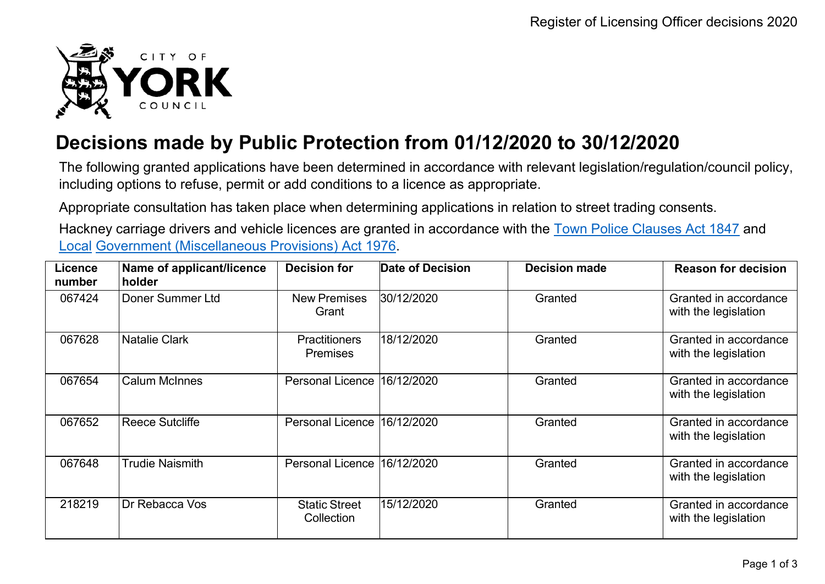

## **Decisions made by Public Protection from 01/12/2020 to 30/12/2020**

The following granted applications have been determined in accordance with relevant legislation/regulation/council policy, including options to refuse, permit or add conditions to a licence as appropriate.

Appropriate consultation has taken place when determining applications in relation to street trading consents.

Hackney carriage drivers and vehicle licences are granted in accordance with the Town Police [Clauses](http://www.legislation.gov.uk/ukpga/Vict/10-11/89) Act 1847 and [Local](http://www.legislation.gov.uk/ukpga/1976/57) [Government \(Miscellaneous Provisions\) Act 1976.](http://www.legislation.gov.uk/ukpga/1976/57)

| <b>Licence</b><br>number | Name of applicant/licence<br>holder | <b>Decision for</b>                     | Date of Decision | <b>Decision made</b> | <b>Reason for decision</b>                    |
|--------------------------|-------------------------------------|-----------------------------------------|------------------|----------------------|-----------------------------------------------|
| 067424                   | Doner Summer Ltd                    | <b>New Premises</b><br>Grant            | 30/12/2020       | Granted              | Granted in accordance<br>with the legislation |
| 067628                   | <b>Natalie Clark</b>                | <b>Practitioners</b><br><b>Premises</b> | 18/12/2020       | Granted              | Granted in accordance<br>with the legislation |
| 067654                   | <b>Calum McInnes</b>                | <b>Personal Licence</b>                 | 16/12/2020       | Granted              | Granted in accordance<br>with the legislation |
| 067652                   | <b>Reece Sutcliffe</b>              | <b>Personal Licence</b>                 | 16/12/2020       | Granted              | Granted in accordance<br>with the legislation |
| 067648                   | <b>Trudie Naismith</b>              | <b>Personal Licence</b>                 | 16/12/2020       | Granted              | Granted in accordance<br>with the legislation |
| 218219                   | Dr Rebacca Vos                      | <b>Static Street</b><br>Collection      | 15/12/2020       | Granted              | Granted in accordance<br>with the legislation |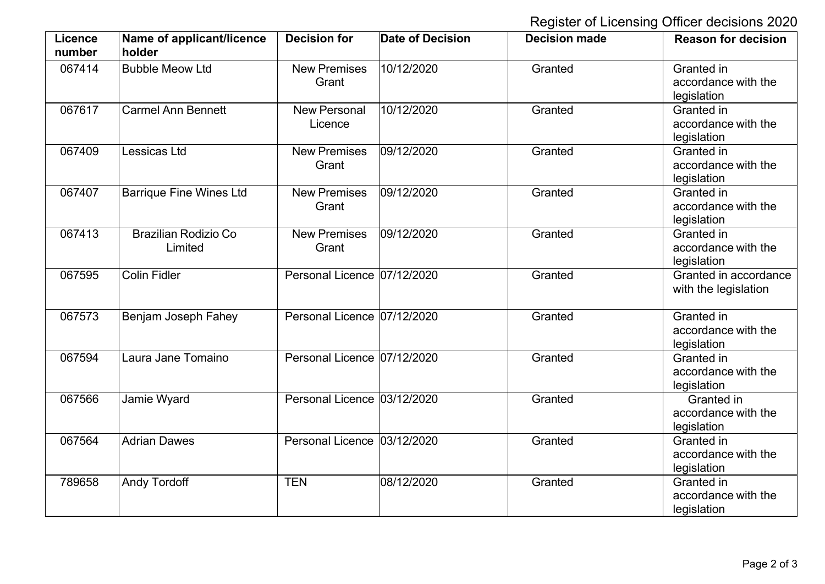## Register of Licensing Officer decisions 2020

| <b>Licence</b><br>number | Name of applicant/licence<br>holder | <b>Decision for</b>            | <b>Date of Decision</b> | <b>Decision made</b> | <b>Reason for decision</b>                       |
|--------------------------|-------------------------------------|--------------------------------|-------------------------|----------------------|--------------------------------------------------|
| 067414                   | <b>Bubble Meow Ltd</b>              | <b>New Premises</b><br>Grant   | 10/12/2020              | Granted              | Granted in<br>accordance with the<br>legislation |
| 067617                   | <b>Carmel Ann Bennett</b>           | <b>New Personal</b><br>Licence | 10/12/2020              | Granted              | Granted in<br>accordance with the<br>legislation |
| 067409                   | Lessicas Ltd                        | <b>New Premises</b><br>Grant   | 09/12/2020              | Granted              | Granted in<br>accordance with the<br>legislation |
| 067407                   | <b>Barrique Fine Wines Ltd</b>      | <b>New Premises</b><br>Grant   | 09/12/2020              | Granted              | Granted in<br>accordance with the<br>legislation |
| 067413                   | Brazilian Rodizio Co<br>Limited     | <b>New Premises</b><br>Grant   | 09/12/2020              | Granted              | Granted in<br>accordance with the<br>legislation |
| 067595                   | <b>Colin Fidler</b>                 | Personal Licence 07/12/2020    |                         | Granted              | Granted in accordance<br>with the legislation    |
| 067573                   | Benjam Joseph Fahey                 | Personal Licence 07/12/2020    |                         | Granted              | Granted in<br>accordance with the<br>legislation |
| 067594                   | Laura Jane Tomaino                  | Personal Licence 07/12/2020    |                         | Granted              | Granted in<br>accordance with the<br>legislation |
| 067566                   | Jamie Wyard                         | Personal Licence 03/12/2020    |                         | Granted              | Granted in<br>accordance with the<br>legislation |
| 067564                   | <b>Adrian Dawes</b>                 | Personal Licence 03/12/2020    |                         | Granted              | Granted in<br>accordance with the<br>legislation |
| 789658                   | <b>Andy Tordoff</b>                 | <b>TEN</b>                     | 08/12/2020              | Granted              | Granted in<br>accordance with the<br>legislation |